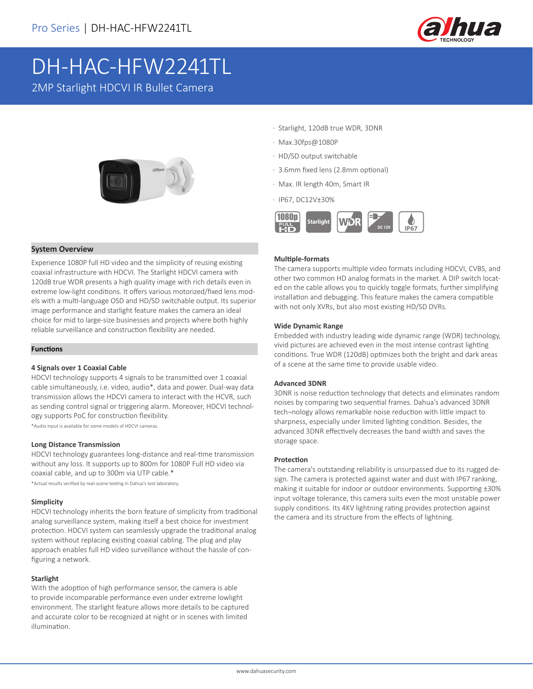

# DH-HAC-HFW2241TL

2MP Starlight HDCVI IR Bullet Camera



# **System Overview**

Experience 1080P full HD video and the simplicity of reusing existing coaxial infrastructure with HDCVI. The Starlight HDCVI camera with 120dB true WDR presents a high quality image with rich details even in extreme low-light conditions. It offers various motorized/fixed lens models with a multi-language OSD and HD/SD switchable output. Its superior image performance and starlight feature makes the camera an ideal choice for mid to large-size businesses and projects where both highly reliable surveillance and construction flexibility are needed.

#### **Functions**

#### **4 Signals over 1 Coaxial Cable**

HDCVI technology supports 4 signals to be transmitted over 1 coaxial cable simultaneously, i.e. video, audio\*, data and power. Dual-way data transmission allows the HDCVI camera to interact with the HCVR, such as sending control signal or triggering alarm. Moreover, HDCVI technology supports PoC for construction flexibility.

\*Audio input is available for some models of HDCVI cameras.

#### **Long Distance Transmission**

HDCVI technology guarantees long-distance and real-time transmission without any loss. It supports up to 800m for 1080P Full HD video via coaxial cable, and up to 300m via UTP cable.\*

\*Actual results verified by real-scene testing in Dahua's test laboratory.

#### **Simplicity**

HDCVI technology inherits the born feature of simplicity from traditional analog surveillance system, making itself a best choice for investment protection. HDCVI system can seamlessly upgrade the traditional analog system without replacing existing coaxial cabling. The plug and play approach enables full HD video surveillance without the hassle of configuring a network.

#### **Starlight**

With the adoption of high performance sensor, the camera is able to provide incomparable performance even under extreme lowlight environment. The starlight feature allows more details to be captured and accurate color to be recognized at night or in scenes with limited illumination.

- · Starlight, 120dB true WDR, 3DNR
- · Max.30fps@1080P
- · HD/SD output switchable
- · 3.6mm fixed lens (2.8mm optional)
- · Max. IR length 40m, Smart IR
- · IP67, DC12V±30%



#### **Multiple-formats**

The camera supports multiple video formats including HDCVI, CVBS, and other two common HD analog formats in the market. A DIP switch located on the cable allows you to quickly toggle formats, further simplifying installation and debugging. This feature makes the camera compatible with not only XVRs, but also most existing HD/SD DVRs.

#### **Wide Dynamic Range**

Embedded with industry leading wide dynamic range (WDR) technology, vivid pictures are achieved even in the most intense contrast lighting conditions. True WDR (120dB) optimizes both the bright and dark areas of a scene at the same time to provide usable video.

#### **Advanced 3DNR**

3DNR is noise reduction technology that detects and eliminates random noises by comparing two sequential frames. Dahua's advanced 3DNR tech¬nology allows remarkable noise reduction with little impact to sharpness, especially under limited lighting condition. Besides, the advanced 3DNR effectively decreases the band width and saves the storage space.

#### **Protection**

The camera's outstanding reliability is unsurpassed due to its rugged design. The camera is protected against water and dust with IP67 ranking, making it suitable for indoor or outdoor environments. Supporting ±30% input voltage tolerance, this camera suits even the most unstable power supply conditions. Its 4KV lightning rating provides protection against the camera and its structure from the effects of lightning.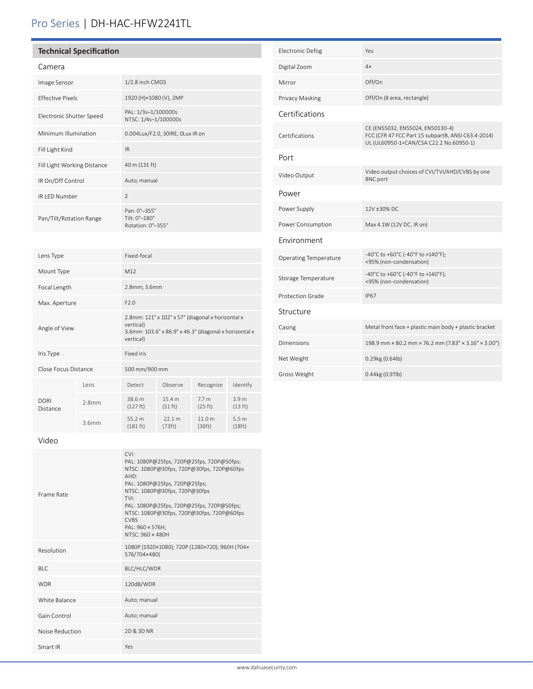# Pro Series | DH-HAC-HFW2241TL

# **Technical Specification**

| r<br>L<br>ΗF<br>$\cdot$ – |
|---------------------------|
|---------------------------|

| Image Sensor                | 1/2.8 inch CMOS                                    |
|-----------------------------|----------------------------------------------------|
| <b>Effective Pixels</b>     | 1920 (H)×1080 (V), 2MP                             |
| Electronic Shutter Speed    | PAL: 1/3s-1/100000s<br>NTSC: 1/4s-1/100000s        |
| Minimum Illumination        | 0.004Lux/F2.0, 30IRE, 0Lux IR on                   |
| Fill Light Kind             | IR.                                                |
| Fill Light Working Distance | 40 m (131 ft)                                      |
| IR On/Off Control           | Auto; manual                                       |
| IR LED Number               | $\mathfrak{D}$                                     |
| Pan/Tilt/Rotation Range     | Pan: 0°-355°<br>Tilt: 0°-180°<br>Rotation: 0°-355° |

| <b>Electronic Defog</b>      | Yes                                                                                                                               |
|------------------------------|-----------------------------------------------------------------------------------------------------------------------------------|
| Digital Zoom                 | 4x                                                                                                                                |
| Mirror                       | Off/On                                                                                                                            |
| Privacy Masking              | Off/On (8 area, rectangle)                                                                                                        |
| Certifications               |                                                                                                                                   |
| Certifications               | CE (EN55032, EN55024, EN50130-4)<br>FCC (CFR 47 FCC Part 15 subpartB, ANSI C63.4-2014)<br>UL (UL60950-1+CAN/CSA C22.2 No.60950-1) |
| Port                         |                                                                                                                                   |
| Video Output                 | Video output choices of CVI/TVI/AHD/CVBS by one<br><b>BNC</b> port                                                                |
| Power                        |                                                                                                                                   |
| Power Supply                 | 12V ±30% DC                                                                                                                       |
| Power Consumption            | Max 4.1W (12V DC, IR on)                                                                                                          |
| Environment                  |                                                                                                                                   |
| <b>Operating Temperature</b> | -40°C to +60°C (-40°F to +140°F);<br><95% (non-condensation)                                                                      |
| Storage Temperature          | -40°C to +60°C (-40°F to +140°F);<br><95% (non-condensation)                                                                      |
| Protection Grade             | <b>IP67</b>                                                                                                                       |
| Structure                    |                                                                                                                                   |
| Casing                       | Metal front face + plastic main body + plastic bracket                                                                            |
| <b>Dimensions</b>            | 198.9 mm × 80.2 mm × 76.2 mm (7.83" × 3.16" × 3.00")                                                                              |
| Net Weight                   | 0.29kg (0.64lb)                                                                                                                   |
| Gross Weight                 | 0.44kg (0.97lb)                                                                                                                   |

| Lens Type                                                                                                                                              |         | Fixed-focal        |                   |                             |                             |
|--------------------------------------------------------------------------------------------------------------------------------------------------------|---------|--------------------|-------------------|-----------------------------|-----------------------------|
| Mount Type                                                                                                                                             |         | M12                |                   |                             |                             |
| Focal Length                                                                                                                                           |         | 2.8mm; 3.6mm       |                   |                             |                             |
| Max. Aperture                                                                                                                                          | F2.0    |                    |                   |                             |                             |
| 2.8mm: 121° x 102° x 57° (diagonal x horizontal x<br>vertical)<br>Angle of View<br>3.6mm: 103.6° x 86.9° x 46.3° (diagonal x horizontal x<br>vertical) |         |                    |                   |                             |                             |
| Iris Type                                                                                                                                              |         | Fixed iris         |                   |                             |                             |
| Close Focus Distance                                                                                                                                   |         | 500 mm/900 mm      |                   |                             |                             |
|                                                                                                                                                        | I ens   | Detect             | Observe           | Recognize                   | Identify                    |
| DORI<br>Distance                                                                                                                                       | $2$ 8mm | 38.6 m<br>(127 ft) | 15.4 m<br>(51 ft) | 7.7 <sub>m</sub><br>(25 ft) | 3.9 <sub>m</sub><br>(13 ft) |
|                                                                                                                                                        | 3.6mm   | 55.2 m<br>(181 ft) | 22.1 m<br>(73ft)  | 11.0 m<br>(36ft)            | 5.5 <sub>m</sub><br>(18ft)  |

## Video

| Frame Rate      | CVI<br>PAL: 1080P@25fps, 720P@25fps, 720P@50fps;<br>NTSC: 1080P@30fps, 720P@30fps, 720P@60fps<br>$AHD^.$<br>PAL: 1080P@25fps, 720P@25fps;<br>NTSC: 1080P@30fps, 720P@30fps<br><b>TVI-</b><br>PAL: 1080P@25fps, 720P@25fps, 720P@50fps;<br>NTSC: 1080P@30fps, 720P@30fps, 720P@60fps<br><b>CVBS</b><br>PAL: 960 × 576H;<br>$NTSC·960 \times 480H$ |
|-----------------|--------------------------------------------------------------------------------------------------------------------------------------------------------------------------------------------------------------------------------------------------------------------------------------------------------------------------------------------------|
| Resolution      | 1080P (1920×1080); 720P (1280×720); 960H (704×<br>576/704×480)                                                                                                                                                                                                                                                                                   |
| <b>BLC</b>      | BLC/HLC/WDR                                                                                                                                                                                                                                                                                                                                      |
| <b>WDR</b>      | 120dB/WDR                                                                                                                                                                                                                                                                                                                                        |
| White Balance   | Auto; manual                                                                                                                                                                                                                                                                                                                                     |
| Gain Control    | Auto; manual                                                                                                                                                                                                                                                                                                                                     |
| Noise Reduction | 2D & 3D NR                                                                                                                                                                                                                                                                                                                                       |
| Smart IR        | Yes                                                                                                                                                                                                                                                                                                                                              |